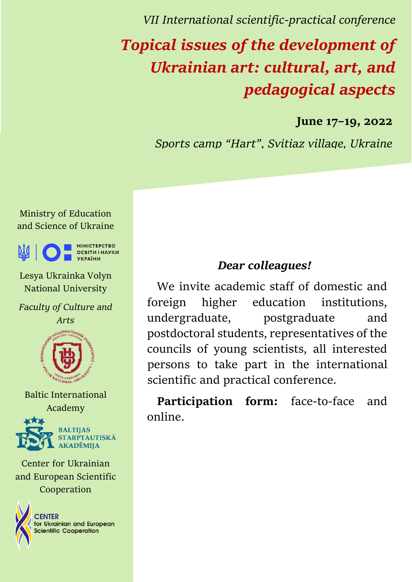*VІІ International scientific-practical conference* 

# *Topical issues of the development of Ukrainian art: cultural, art, and pedagogical aspects*

**June 17–19, 2022**

*Sports camp "Hart", Svitiaz village, Ukraine*

Ministry of Education and Science of Ukraine



Lesya Ukrainka Volyn National University

*Faculty of Culture and Arts*



Baltic International Academy



Center for Ukrainian and European Scientific Cooperation



### *Dear colleagues!*

We invite academic staff of domestic and foreign higher education institutions, undergraduate, postgraduate and postdoctoral students, representatives of the councils of young scientists, all interested persons to take part in the international scientific and practical conference.

**Participation form:** face-to-face and online.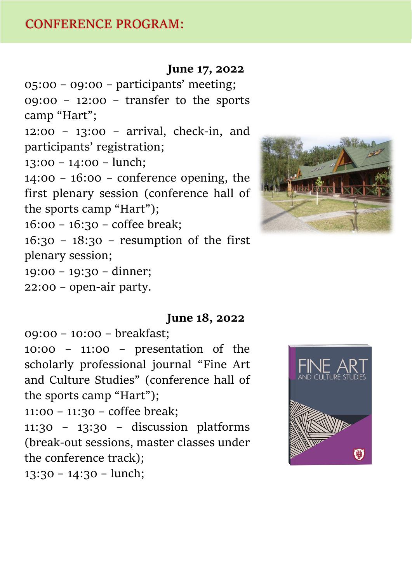#### **June 17, 2022**

05:00 – 09:00 – participants' meeting;  $09:00 - 12:00 - \text{transfer}$  to the sports camp "Hart";

12:00 – 13:00 – arrival, check-in, and participants' registration;

13:00 – 14:00 – lunch;

14:00 – 16:00 – conference opening, the first plenary session (conference hall of the sports camp "Hart");

16:00 – 16:30 – coffee break;

16:30 – 18:30 – resumption of the first plenary session;

19:00 – 19:30 – dinner;

22:00 – open-air partу.

#### **June 18, 2022**

09:00 – 10:00 – breakfast;

10:00 – 11:00 – presentation of the scholarly professional journal "Fine Art and Culture Studies" (conference hall of the sports camp "Hart");

11:00 – 11:30 – coffee break;

11:30 – 13:30 – discussion platforms (break-out sessions, master classes under the conference track);

13:30 – 14:30 – lunch;



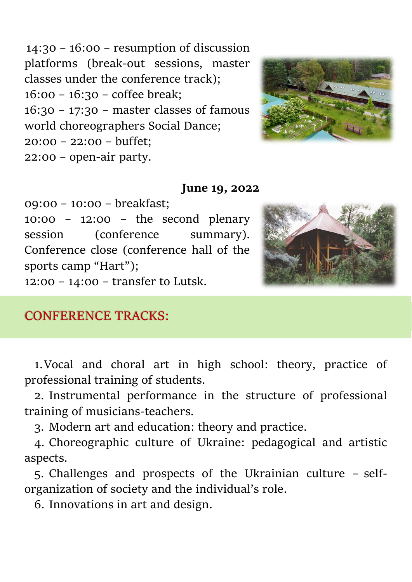14:30 – 16:00 – resumption of discussion platforms (break-out sessions, master classes under the conference track); 16:00 – 16:30 – coffee break; 16:30 – 17:30 – master classes of famous world choreographers Social Dance; 20:00 – 22:00 – buffet; 22:00 – open-air partу.



#### **June 19, 2022**

09:00 – 10:00 – breakfast; 10:00 – 12:00 – the second plenary session (conference summary). Conference close (conference hall of the sports camp "Hart"); 12:00 – 14:00 – transfer to Lutsk.



## CONFERENCE TRACKS:

1.Vocal and choral art in high school: theory, practice of professional training of students.

2. Instrumental performance in the structure of professional training of musicians-teachers.

3. Modern art and education: theory and practice.

4. Choreographic culture of Ukraine: pedagogical and artistic aspects.

5. Challenges and prospects of the Ukrainian culture – selforganization of society and the individual's role.

6. Innovations in art and design.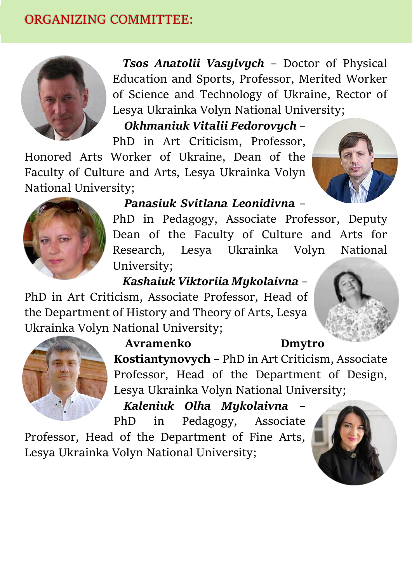# ORGANIZING COMMITTEE:



*Tsos Anatolii Vasylvych* – Doctor of Physical Education and Sports, Professor, Merited Worker of Science and Technology of Ukraine, Rector of Lesya Ukrainka Volyn National University;

*Okhmaniuk Vitalii Fedorovych* –

PhD in Art Criticism, Professor, Honored Arts Worker of Ukraine, Dean of the Faculty of Culture and Arts, Lesya Ukrainka Volyn National University;





*Panasiuk Svitlana Leonidivna* –

PhD in Pedagogy, Associate Professor, Deputy Dean of the Faculty of Culture and Arts for Research, Lesya Ukrainka Volyn National University;

*Kashaiuk Viktoriia Mykolaivna* –

PhD in Art Criticism, Associate Professor, Head of the Department of History and Theory of Arts, Lesya Ukrainka Volyn National University;



**Avramenko Dmytro Kostiantynovych** – PhD in Art Criticism, Associate Professor, Head of the Department of Design, Lesya Ukrainka Volyn National University;

*Kaleniuk Olha Mykolaivna* – PhD in Pedagogy, Associate

Professor, Head of the Department of Fine Arts, Lesya Ukrainka Volyn National University;

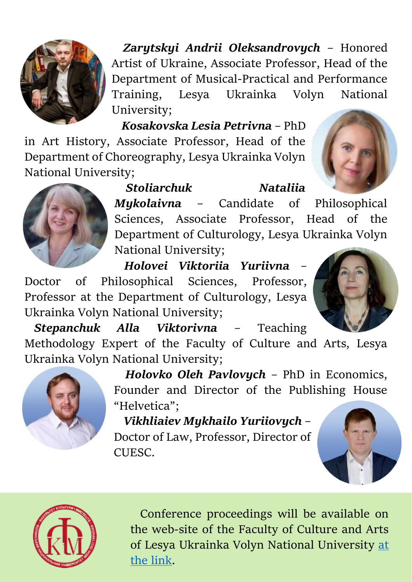

*Zarytskyi Andrii Oleksandrovych* – Honored Artist of Ukraine, Associate Professor, Head of the Department of Musical-Practical and Performance Training, Lesya Ukrainka Volyn National University;

*Kosakovska Lesia Petrivna* – PhD in Art History, Associate Professor, Head of the Department of Choreography, Lesya Ukrainka Volyn

National University;







*Mykolaivna* – Candidate of Philosophical Sciences, Associate Professor, Head of the Department of Culturology, Lesya Ukrainka Volyn National University;

*Holovei Viktoriia Yuriivna* – Doctor of Philosophical Sciences, Professor, Professor at the Department of Culturology, Lesya Ukrainka Volyn National University;



*Stepanchuk Alla Viktorivna* – Teaching Methodology Expert of the Faculty of Culture and Arts, Lesya Ukrainka Volyn National University;



*Holovko Oleh Pavlovych* – PhD in Economics, Founder and Director of the Publishing House "Helvetica";

*Vikhliaiev Mykhailo Yuriiovych* – Doctor of Law, Professor, Director of CUESC.





Conference proceedings will be available on the web-site of the Faculty of Culture and Arts of Lesya Ukrainka Volyn National University [at](https://vnu.edu.ua/uk/faculties-and-institutions/fakultet-kulturi-i-mistectv)  [the link.](https://vnu.edu.ua/uk/faculties-and-institutions/fakultet-kulturi-i-mistectv)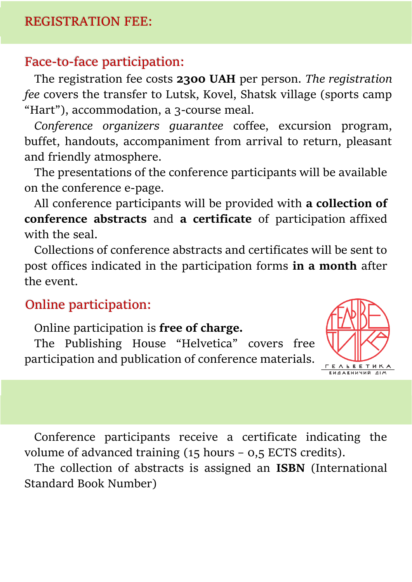## REGISTRATION FEE:

## Face-to-face participation:

The registration fee costs **2300 UAH** per person. *The registration fee* covers the transfer to Lutsk, Kovel, Shatsk village (sports camp "Hart"), accommodation, a 3-course meal.

*Conference organizers guarantee* coffee, excursion program, buffet, handouts, accompaniment from arrival to return, pleasant and friendly atmosphere.

The presentations of the conference participants will be available on the conference e-page.

All conference participants will be provided with **a collection of conference abstracts** and **a certificate** of participation affixed with the seal.

Collections of conference abstracts and certificates will be sent to post offices indicated in the participation forms **in a month** after the event.

# Online participation:

Online participation is **free of charge.** 

The Publishing House "Helvetica" covers free participation and publication of conference materials.



Conference participants receive a certificate indicating the volume of advanced training (15 hours – 0,5 ECTS credits).

The collection of abstracts is assigned an **ISBN** (International Standard Book Number)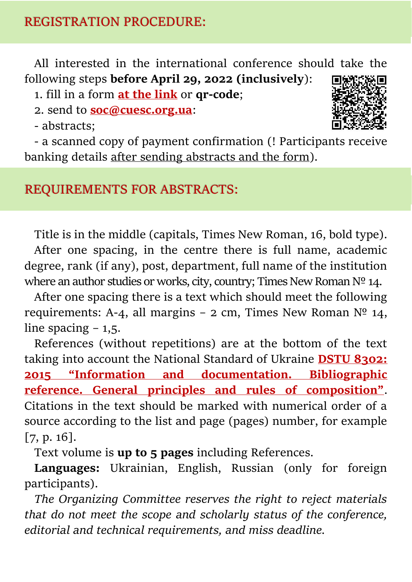All interested in the international conference should take the following steps **before April 29, 2022 (inclusively**):

1. fill in a form **[at the link](https://docs.google.com/forms/d/e/1FAIpQLSfXXwVZhSOVk0nU_nOSY9j_7NmlUNq1WCXyzempvVOyvRtYhQ/viewform)** or **qr-code**;

2. send to **[soc@cuesc.org.ua](mailto:soc@cuesc.org.ua)**:

- abstracts;



- a scanned copy of payment confirmation (! Participants receive banking details after sending abstracts and the form).

# REQUIREMENTS FOR ABSTRACTS:

Title is in the middle (capitals, Times New Roman, 16, bold type). After one spacing, in the centre there is full name, academic degree, rank (if any), post, department, full name of the institution where an author studies or works, city, country; Times New Roman Nº 14.

After one spacing there is a text which should meet the following requirements: A-4, all margins – 2 cm, Times New Roman  $N^{\circ}$  14, line spacing  $-1,5$ .

References (without repetitions) are at the bottom of the text taking into account the National Standard of Ukraine **[DSTU 8302:](https://cuesc.org.ua/bibl.pdf)  2015 "Informati[on and documentation. Bibliographic](https://cuesc.org.ua/bibl.pdf)  [reference. General principles and rules of composition"](https://cuesc.org.ua/bibl.pdf)**. Citations in the text should be marked with numerical order of a source according to the list and page (pages) number, for example [7, p. 16].

Text volume is **up to 5 pages** including References.

**Languages:** Ukrainian, English, Russian (only for foreign participants).

*The Organizing Committee reserves the right to reject materials that do not meet the scope and scholarly status of the conference, editorial and technical requirements, and miss deadline.*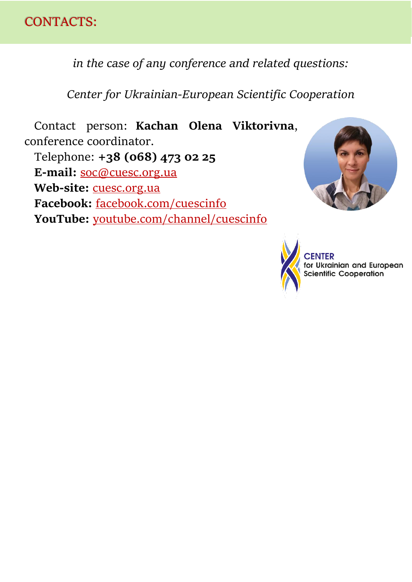

*in the case of any conference and related questions:*

*Center for Ukrainian-European Scientific Cooperation*

Contact person: **Kachan Olena Viktorivna**, conference coordinator. Telephone: **+38 (068) 473 02 25 E-mail:** [soc@cuesc.org.ua](mailto:soc@cuesc.org.ua) Web-site: **[cuesc.org.ua](http://www.cuesc.org.ua/) Facebook:** [facebook.com/cuescinfo](https://www.facebook.com/cuescinfo/) **YouTube:** [youtube.com/channel/cuescinfo](https://www.youtube.com/channel/UCu4akUz9RyclGddvWrAh5pQ/about)